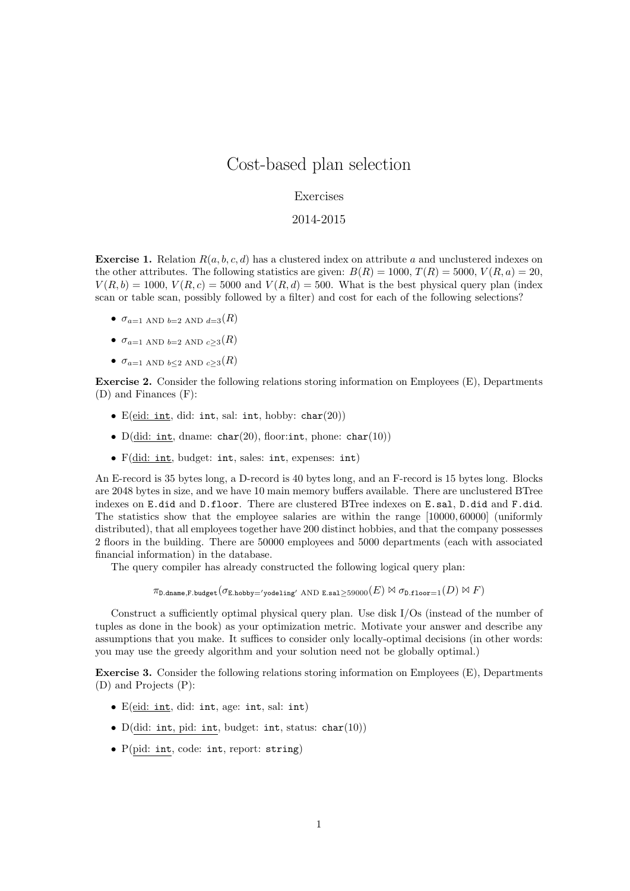## Cost-based plan selection

## Exercises

## 2014-2015

**Exercise 1.** Relation  $R(a, b, c, d)$  has a clustered index on attribute a and unclustered indexes on the other attributes. The following statistics are given:  $B(R) = 1000, T(R) = 5000, V(R, a) = 20$ ,  $V(R, b) = 1000, V(R, c) = 5000$  and  $V(R, d) = 500$ . What is the best physical query plan (index scan or table scan, possibly followed by a filter) and cost for each of the following selections?

- $\bullet$   $\sigma_{a=1}$  AND  $_{b=2}$  AND  $_{d=3}(R)$
- $\sigma_{a=1}$  AND  $_{b=2}$  AND  $_{c>3}(R)$
- $\sigma_{a=1}$  AND  $_{b\leq2}$  AND  $_{c>3}(R)$

Exercise 2. Consider the following relations storing information on Employees (E), Departments (D) and Finances (F):

- E(eid: int, did: int, sal: int, hobby:  $char(20)$ )
- D(did: int, dname: char(20), floor: int, phone: char(10))
- F(did: int, budget: int, sales: int, expenses: int)

An E-record is 35 bytes long, a D-record is 40 bytes long, and an F-record is 15 bytes long. Blocks are 2048 bytes in size, and we have 10 main memory buffers available. There are unclustered BTree indexes on E.did and D.floor. There are clustered BTree indexes on E.sal, D.did and F.did. The statistics show that the employee salaries are within the range [10000, 60000] (uniformly distributed), that all employees together have 200 distinct hobbies, and that the company possesses 2 floors in the building. There are 50000 employees and 5000 departments (each with associated financial information) in the database.

The query compiler has already constructed the following logical query plan:

 $\pi_{\texttt{D.dname,F.budge}}(\sigma_{\texttt{E.hobby='yodeling' AND E.sal} > 59000}(E) \bowtie \sigma_{\texttt{D.floor=1}}(D) \bowtie F)$ 

Construct a sufficiently optimal physical query plan. Use disk I/Os (instead of the number of tuples as done in the book) as your optimization metric. Motivate your answer and describe any assumptions that you make. It suffices to consider only locally-optimal decisions (in other words: you may use the greedy algorithm and your solution need not be globally optimal.)

Exercise 3. Consider the following relations storing information on Employees (E), Departments (D) and Projects (P):

- E(eid: int, did: int, age: int, sal: int)
- $D(\text{did: int, pid: int, budget: int, status: char}(10))$
- P(pid: int, code: int, report: string)